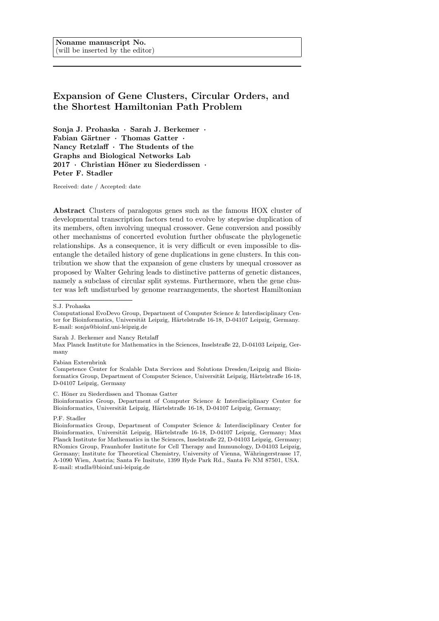# Expansion of Gene Clusters, Circular Orders, and the Shortest Hamiltonian Path Problem

Sonja J. Prohaska · Sarah J. Berkemer · Fabian Gärtner · Thomas Gatter · Nancy Retzlaff · The Students of the Graphs and Biological Networks Lab 2017 · Christian Höner zu Siederdissen · Peter F. Stadler

Received: date / Accepted: date

Abstract Clusters of paralogous genes such as the famous HOX cluster of developmental transcription factors tend to evolve by stepwise duplication of its members, often involving unequal crossover. Gene conversion and possibly other mechanisms of concerted evolution further obfuscate the phylogenetic relationships. As a consequence, it is very difficult or even impossible to disentangle the detailed history of gene duplications in gene clusters. In this contribution we show that the expansion of gene clusters by unequal crossover as proposed by Walter Gehring leads to distinctive patterns of genetic distances, namely a subclass of circular split systems. Furthermore, when the gene cluster was left undisturbed by genome rearrangements, the shortest Hamiltonian

Max Planck Institute for Mathematics in the Sciences, Inselstraße 22, D-04103 Leipzig, Germany

Fabian Externbrink

Competence Center for Scalable Data Services and Solutions Dresden/Leipzig and Bioinformatics Group, Department of Computer Science, Universität Leipzig, Härtelstraße 16-18, D-04107 Leipzig, Germany

#### C. Höner zu Siederdissen and Thomas Gatter

Bioinformatics Group, Department of Computer Science & Interdisciplinary Center for Bioinformatics, Universität Leipzig, Härtelstraße 16-18, D-04107 Leipzig, Germany;

## P.F. Stadler

Bioinformatics Group, Department of Computer Science & Interdisciplinary Center for Bioinformatics, Universität Leipzig, Härtelstraße 16-18, D-04107 Leipzig, Germany; Max Planck Institute for Mathematics in the Sciences, Inselstraße 22, D-04103 Leipzig, Germany; RNomics Group, Fraunhofer Institute for Cell Therapy and Immunology, D-04103 Leipzig, Germany; Institute for Theoretical Chemistry, University of Vienna, Währingerstrasse 17, A-1090 Wien, Austria; Santa Fe Insitute, 1399 Hyde Park Rd., Santa Fe NM 87501, USA. E-mail: studla@bioinf.uni-leipzig.de

S.J. Prohaska

Computational EvoDevo Group, Department of Computer Science & Interdisciplinary Center for Bioinformatics, Universität Leipzig, Härtelstraße 16-18, D-04107 Leipzig, Germany. E-mail: sonja@bioinf.uni-leipzig.de

Sarah J. Berkemer and Nancy Retzlaff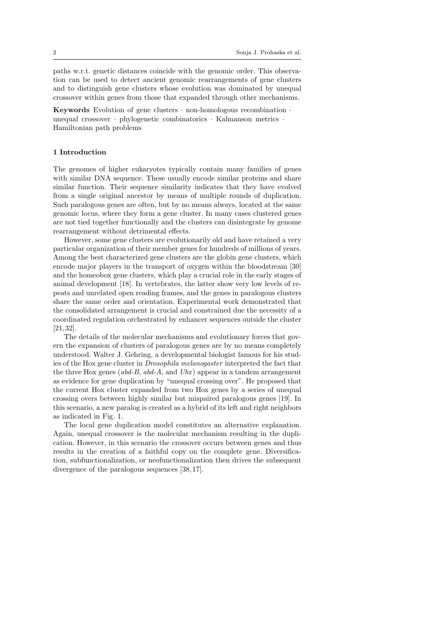paths w.r.t. genetic distances coincide with the genomic order. This observation can be used to detect ancient genomic rearrangements of gene clusters and to distinguish gene clusters whose evolution was dominated by unequal crossover within genes from those that expanded through other mechanisms.

**Keywords** Evolution of gene clusters  $\cdot$  non-homologous recombination  $\cdot$ unequal crossover · phylogenetic combinatorics · Kalmanson metrics · Hamiltonian path problems

## 1 Introduction

The genomes of higher eukaryotes typically contain many families of genes with similar DNA sequence. These usually encode similar proteins and share similar function. Their sequence similarity indicates that they have evolved from a single original ancestor by means of multiple rounds of duplication. Such paralogous genes are often, but by no means always, located at the same genomic locus, where they form a gene cluster. In many cases clustered genes are not tied together functionally and the clusters can disintegrate by genome rearrangement without detrimental effects.

However, some gene clusters are evolutionarily old and have retained a very particular organization of their member genes for hundreds of millions of years. Among the best characterized gene clusters are the globin gene clusters, which encode major players in the transport of oxygen within the bloodstream [30] and the homeobox gene clusters, which play a crucial role in the early stages of animal development [18]. In vertebrates, the latter show very low levels of repeats and unrelated open reading frames, and the genes in paralogous clusters share the same order and orientation. Experimental work demonstrated that the consolidated arrangement is crucial and constrained due the necessity of a coordinated regulation orchestrated by enhancer sequences outside the cluster [21, 32].

The details of the molecular mechanisms and evolutionary forces that govern the expansion of clusters of paralogous genes are by no means completely understood. Walter J. Gehring, a developmental biologist famous for his studies of the Hox gene cluster in Drosophila melanogaster interpreted the fact that the three Hox genes (abd-B, abd-A, and  $Ubx$ ) appear in a tandem arrangement as evidence for gene duplication by "unequal crossing over". He proposed that the current Hox cluster expanded from two Hox genes by a series of unequal crossing overs between highly similar but mispaired paralogous genes [19]. In this scenario, a new paralog is created as a hybrid of its left and right neighbors as indicated in Fig. 1.

The local gene duplication model constitutes an alternative explanation. Again, unequal crossover is the molecular mechanism resulting in the duplication. However, in this scenario the crossover occurs between genes and thus results in the creation of a faithful copy on the complete gene. Diversification, subfunctionalization, or neofunctionalization then drives the subsequent divergence of the paralogous sequences [38, 17].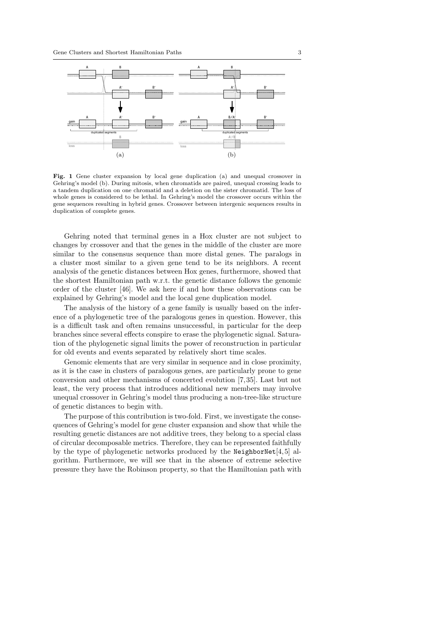

Fig. 1 Gene cluster expansion by local gene duplication (a) and unequal crossover in Gehring's model (b). During mitosis, when chromatids are paired, unequal crossing leads to a tandem duplication on one chromatid and a deletion on the sister chromatid. The loss of whole genes is considered to be lethal. In Gehring's model the crossover occurs within the gene sequences resulting in hybrid genes. Crossover between intergenic sequences results in duplication of complete genes.

Gehring noted that terminal genes in a Hox cluster are not subject to changes by crossover and that the genes in the middle of the cluster are more similar to the consensus sequence than more distal genes. The paralogs in a cluster most similar to a given gene tend to be its neighbors. A recent analysis of the genetic distances between Hox genes, furthermore, showed that the shortest Hamiltonian path w.r.t. the genetic distance follows the genomic order of the cluster [46]. We ask here if and how these observations can be explained by Gehring's model and the local gene duplication model.

The analysis of the history of a gene family is usually based on the inference of a phylogenetic tree of the paralogous genes in question. However, this is a difficult task and often remains unsuccessful, in particular for the deep branches since several effects conspire to erase the phylogenetic signal. Saturation of the phylogenetic signal limits the power of reconstruction in particular for old events and events separated by relatively short time scales.

Genomic elements that are very similar in sequence and in close proximity, as it is the case in clusters of paralogous genes, are particularly prone to gene conversion and other mechanisms of concerted evolution [7, 35]. Last but not least, the very process that introduces additional new members may involve unequal crossover in Gehring's model thus producing a non-tree-like structure of genetic distances to begin with.

The purpose of this contribution is two-fold. First, we investigate the consequences of Gehring's model for gene cluster expansion and show that while the resulting genetic distances are not additive trees, they belong to a special class of circular decomposable metrics. Therefore, they can be represented faithfully by the type of phylogenetic networks produced by the NeighborNet $[4, 5]$  algorithm. Furthermore, we will see that in the absence of extreme selective pressure they have the Robinson property, so that the Hamiltonian path with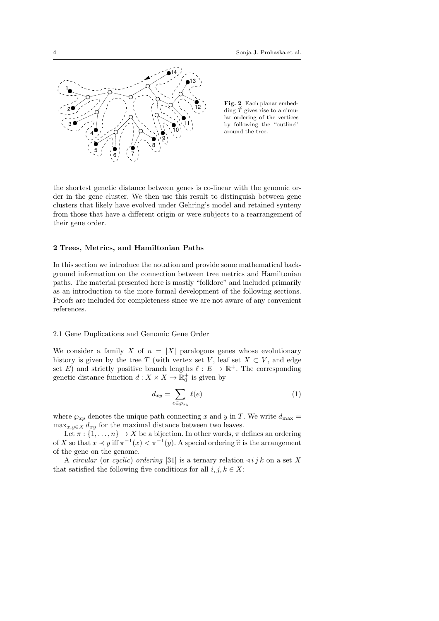

Fig. 2 Each planar embedding  $\tilde{T}$  gives rise to a circular ordering of the vertices by following the "outline" around the tree.

the shortest genetic distance between genes is co-linear with the genomic order in the gene cluster. We then use this result to distinguish between gene clusters that likely have evolved under Gehring's model and retained synteny from those that have a different origin or were subjects to a rearrangement of their gene order.

# 2 Trees, Metrics, and Hamiltonian Paths

In this section we introduce the notation and provide some mathematical background information on the connection between tree metrics and Hamiltonian paths. The material presented here is mostly "folklore" and included primarily as an introduction to the more formal development of the following sections. Proofs are included for completeness since we are not aware of any convenient references.

# 2.1 Gene Duplications and Genomic Gene Order

We consider a family X of  $n = |X|$  paralogous genes whose evolutionary history is given by the tree T (with vertex set V, leaf set  $X \subset V$ , and edge set E) and strictly positive branch lengths  $\ell : E \to \mathbb{R}^+$ . The corresponding genetic distance function  $d: X \times X \to \mathbb{R}_0^+$  is given by

$$
d_{xy} = \sum_{e \in \wp_{xy}} \ell(e) \tag{1}
$$

where  $\wp_{xp}$  denotes the unique path connecting x and y in T. We write  $d_{\text{max}} =$  $\max_{x,y\in X} d_{xy}$  for the maximal distance between two leaves.

Let  $\pi : \{1, \ldots, n\} \to X$  be a bijection. In other words,  $\pi$  defines an ordering of X so that  $x \prec y$  iff  $\pi^{-1}(x) < \pi^{-1}(y)$ . A special ordering  $\hat{\pi}$  is the arrangement of the gang on the ganoma of the gene on the genome.

A circular (or cyclic) ordering [31] is a ternary relation  $\triangleleft i j k$  on a set X that satisfied the following five conditions for all  $i, j, k \in X$ :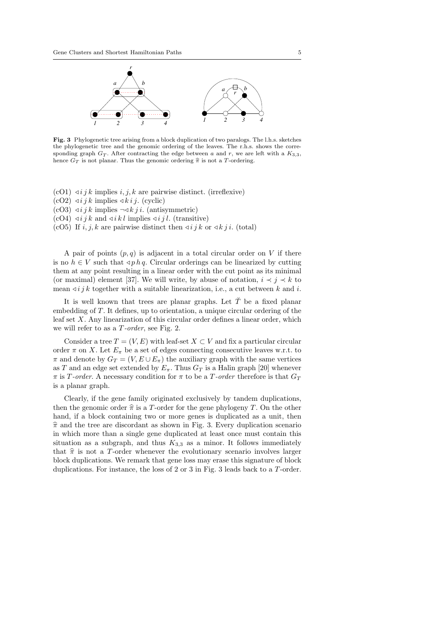

Fig. 3 Phylogenetic tree arising from a block duplication of two paralogs. The l.h.s. sketches the phylogenetic tree and the genomic ordering of the leaves. The r.h.s. shows the corresponding graph  $G_T$ . After contracting the edge between a and r, we are left with a  $K_{3,3}$ , hence  $G_T$  is not planar. Thus the genomic ordering  $\hat{\pi}$  is not a T-ordering.

- $(cO1)$   $\triangleleft ijk$  implies i, j, k are pairwise distinct. (irreflexive)
- $(cO2)$   $\triangleleft i j k$  implies  $\triangleleft k i j$ . (cyclic)
- $(cO3) \lhd i j k$  implies  $\neg \lhd k j i$ . (antisymmetric)
- $(cO4) \triangleleft i j k$  and  $\triangleleft i k l$  implies  $\triangleleft i j l$ . (transitive)

(cO5) If i, j, k are pairwise distinct then  $\triangleleft i j k$  or  $\triangleleft k j i$ . (total)

A pair of points  $(p, q)$  is adjacent in a total circular order on V if there is no  $h \in V$  such that  $\triangleleft p h q$ . Circular orderings can be linearized by cutting them at any point resulting in a linear order with the cut point as its minimal (or maximal) element [37]. We will write, by abuse of notation,  $i \prec j \prec k$  to mean  $\triangleleft i j k$  together with a suitable linearization, i.e., a cut between k and i.

It is well known that trees are planar graphs. Let  $\check{T}$  be a fixed planar embedding of T. It defines, up to orientation, a unique circular ordering of the leaf set  $X$ . Any linearization of this circular order defines a linear order, which we will refer to as a T-order, see Fig. 2.

Consider a tree  $T = (V, E)$  with leaf-set  $X \subset V$  and fix a particular circular order  $\pi$  on X. Let  $E_{\pi}$  be a set of edges connecting consecutive leaves w.r.t. to  $\pi$  and denote by  $G_T = (V, E \cup E_\pi)$  the auxiliary graph with the same vertices as T and an edge set extended by  $E_{\pi}$ . Thus  $G_T$  is a Halin graph [20] whenever  $\pi$  is T-order. A necessary condition for  $\pi$  to be a T-order therefore is that  $G_T$ is a planar graph.

Clearly, if the gene family originated exclusively by tandem duplications, then the genomic order  $\hat{\pi}$  is a T-order for the gene phylogeny T. On the other hand, if a block containing two or more genes is duplicated as a unit, then  $\hat{\pi}$  and the tree are discordant as shown in Fig. 3. Every duplication scenario in which more than a single gene duplicated at least once must contain this situation as a subgraph, and thus  $K_{3,3}$  as a minor. It follows immediately that  $\hat{\pi}$  is not a T-order whenever the evolutionary scenario involves larger block duplications. We remark that gene loss may erase this signature of block duplications. For instance, the loss of 2 or 3 in Fig. 3 leads back to a T-order.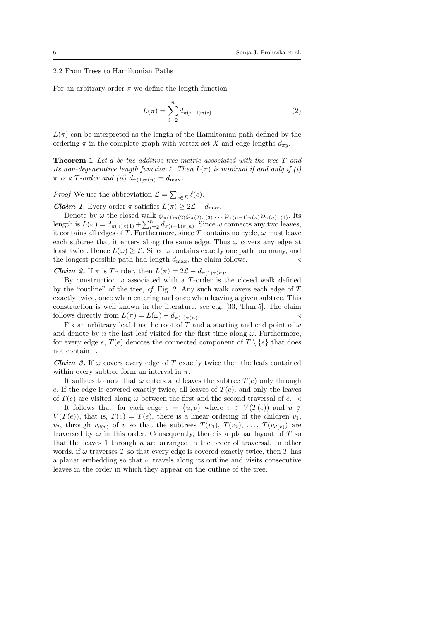2.2 From Trees to Hamiltonian Paths

For an arbitrary order  $\pi$  we define the length function

$$
L(\pi) = \sum_{i=2}^{n} d_{\pi(i-1)\pi(i)}
$$
 (2)

 $L(\pi)$  can be interpreted as the length of the Hamiltonian path defined by the ordering  $\pi$  in the complete graph with vertex set X and edge lengths  $d_{xy}$ .

Theorem 1 Let d be the additive tree metric associated with the tree T and its non-degenerative length function  $\ell$ . Then  $L(\pi)$  is minimal if and only if (i)  $\pi$  is a T-order and (ii)  $d_{\pi(1)\pi(n)} = d_{\max}$ .

*Proof* We use the abbreviation  $\mathcal{L} = \sum_{e \in E} \ell(e)$ .

**Claim 1.** Every order  $\pi$  satisfies  $L(\pi) \geq 2\mathcal{L} - d_{\max}$ .

Denote by  $\omega$  the closed walk  $\wp_{\pi(1)\pi(2)}\wp_{\pi(2)\pi(3)}\cdots\wp_{\pi(n-1)\pi(n)}\wp_{\pi(n)\pi(1)}$ . Its length is  $L(\omega) = d_{\pi(n)\pi(1)} + \sum_{i=2}^{n} d_{\pi(i-1)\pi(n)}$ . Since  $\omega$  connects any two leaves, it contains all edges of T. Furthermore, since T contains no cycle,  $\omega$  must leave each subtree that it enters along the same edge. Thus  $\omega$  covers any edge at least twice. Hence  $L(\omega) \geq \mathcal{L}$ . Since  $\omega$  contains exactly one path too many, and the longest possible path had length  $d_{\text{max}}$ , the claim follows.

**Claim 2.** If  $\pi$  is T-order, then  $L(\pi) = 2\mathcal{L} - d_{\pi(1)\pi(n)}$ .

By construction  $\omega$  associated with a T-order is the closed walk defined by the "outline" of the tree, cf. Fig. 2. Any such walk covers each edge of T exactly twice, once when entering and once when leaving a given subtree. This construction is well known in the literature, see e.g. [33, Thm.5]. The claim follows directly from  $L(\pi) = L(\omega) - d_{\pi(1)\pi(n)}$ . .  $\triangleleft$ 

Fix an arbitrary leaf 1 as the root of T and a starting and end point of  $\omega$ and denote by n the last leaf visited for the first time along  $\omega$ . Furthermore, for every edge e,  $T(e)$  denotes the connected component of  $T \setminus \{e\}$  that does not contain 1.

**Claim 3.** If  $\omega$  covers every edge of T exactly twice then the leafs contained within every subtree form an interval in  $\pi$ .

It suffices to note that  $\omega$  enters and leaves the subtree  $T(e)$  only through e. If the edge is covered exactly twice, all leaves of  $T(e)$ , and only the leaves of  $T(e)$  are visited along  $\omega$  between the first and the second traversal of e.  $\triangleleft$ 

It follows that, for each edge  $e = \{u, v\}$  where  $v \in V(T(e))$  and  $u \notin$  $V(T(e))$ , that is,  $T(v) = T(e)$ , there is a linear ordering of the children  $v_1$ ,  $v_2$ , through  $v_{d(v)}$  of v so that the subtrees  $T(v_1)$ ,  $T(v_2)$ , ...,  $T(v_{d(v)})$  are traversed by  $\omega$  in this order. Consequently, there is a planar layout of T so that the leaves 1 through  $n$  are arranged in the order of traversal. In other words, if  $\omega$  traverses T so that every edge is covered exactly twice, then T has a planar embedding so that  $\omega$  travels along its outline and visits consecutive leaves in the order in which they appear on the outline of the tree.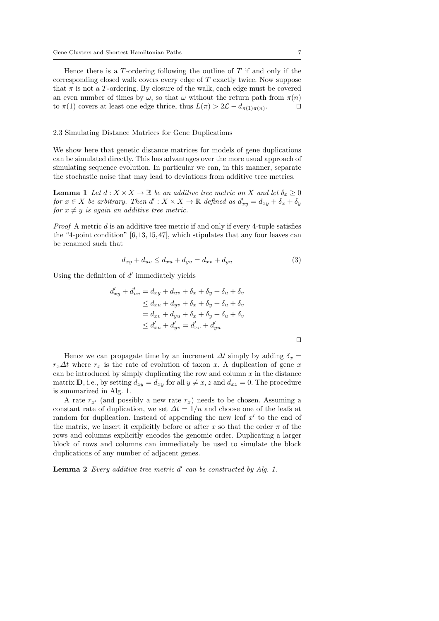Hence there is a  $T$ -ordering following the outline of  $T$  if and only if the corresponding closed walk covers every edge of T exactly twice. Now suppose that  $\pi$  is not a T-ordering. By closure of the walk, each edge must be covered an even number of times by  $\omega$ , so that  $\omega$  without the return path from  $\pi(n)$ to  $\pi(1)$  covers at least one edge thrice, thus  $L(\pi) > 2\mathcal{L} - d_{\pi(1)\pi(n)}$ .  $\Box$ 

# 2.3 Simulating Distance Matrices for Gene Duplications

We show here that genetic distance matrices for models of gene duplications can be simulated directly. This has advantages over the more usual approach of simulating sequence evolution. In particular we can, in this manner, separate the stochastic noise that may lead to deviations from additive tree metrics.

**Lemma 1** Let  $d: X \times X \to \mathbb{R}$  be an additive tree metric on X and let  $\delta_x \geq 0$ for  $x \in X$  be arbitrary. Then  $d' : X \times X \to \mathbb{R}$  defined as  $d'_{xy} = d_{xy} + \delta_x + \delta_y$ for  $x \neq y$  is again an additive tree metric.

*Proof* A metric  $d$  is an additive tree metric if and only if every 4-tuple satisfies the "4-point condition" [6, 13, 15, 47], which stipulates that any four leaves can be renamed such that

$$
d_{xy} + d_{uv} \le d_{xu} + d_{yv} = d_{xv} + d_{yu} \tag{3}
$$

Using the definition of  $d'$  immediately yields

$$
d'_{xy} + d'_{uv} = d_{xy} + d_{uv} + \delta_x + \delta_y + \delta_u + \delta_v
$$
  
\n
$$
\leq d_{xu} + d_{yv} + \delta_x + \delta_y + \delta_u + \delta_v
$$
  
\n
$$
= d_{xv} + d_{yu} + \delta_x + \delta_y + \delta_u + \delta_v
$$
  
\n
$$
\leq d'_{xu} + d'_{yv} = d'_{xv} + d'_{yu}
$$

Hence we can propagate time by an increment  $\Delta t$  simply by adding  $\delta_x =$  $r<sub>x</sub>∆t$  where  $r<sub>x</sub>$  is the rate of evolution of taxon x. A duplication of gene x can be introduced by simply duplicating the row and column  $x$  in the distance matrix **D**, i.e., by setting  $d_{zy} = d_{xy}$  for all  $y \neq x$ , z and  $d_{xz} = 0$ . The procedure is summarized in Alg. 1.

A rate  $r_{x'}$  (and possibly a new rate  $r_x$ ) needs to be chosen. Assuming a constant rate of duplication, we set  $\Delta t = 1/n$  and choose one of the leafs at random for duplication. Instead of appending the new leaf  $x'$  to the end of the matrix, we insert it explicitly before or after x so that the order  $\pi$  of the rows and columns explicitly encodes the genomic order. Duplicating a larger block of rows and columns can immediately be used to simulate the block duplications of any number of adjacent genes.

**Lemma 2** Every additive tree metric  $d'$  can be constructed by Alg. 1.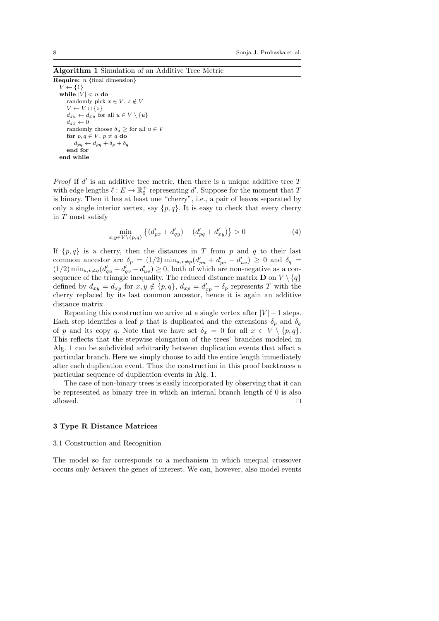Algorithm 1 Simulation of an Additive Tree Metric

**Require:**  $n \{ \text{final dimension} \}$  $V \leftarrow \{1\}$ while  $|V| < n$  do randomly pick  $x \in V$ ,  $z \notin V$  $V \leftarrow V \cup \{z\}$  $d_{zu} \leftarrow d_{xu}$  for all  $u \in V \setminus \{u\}$  $d_{zx} \leftarrow 0$ randomly choose  $\delta_u \geq$  for all  $u \in V$ for  $p, q \in V$ ,  $p \neq q$  do  $d_{pq} \leftarrow d_{pq} + \delta_p + \delta_q$ end for end while

*Proof* If  $d'$  is an additive tree metric, then there is a unique additive tree  $T$ with edge lengths  $\ell : E \to \mathbb{R}^+_0$  representing  $d'.$  Suppose for the moment that  $T$ is binary. Then it has at least one "cherry", i.e., a pair of leaves separated by only a single interior vertex, say  $\{p, q\}$ . It is easy to check that every cherry in T must satisfy

$$
\min_{x,y \in V \setminus \{p,q\}} \left\{ (d'_{px} + d'_{qy}) - (d'_{pq} + d'_{xy}) \right\} > 0 \tag{4}
$$

If  $\{p,q\}$  is a cherry, then the distances in T from p and q to their last common ancestor are  $\delta_p = (1/2) \min_{u,v \neq p} (d'_{pu} + d'_{pv} - d'_{uv}) \geq 0$  and  $\delta_q =$  $(1/2)$  min<sub>u,v≠q</sub>( $d'_{qu} + d'_{qv} - d'_{uv}$ ) ≥ 0, both of which are non-negative as a consequence of the triangle inequality. The reduced distance matrix **D** on  $V \setminus \{q\}$ defined by  $d_{xy} = d_{xy}$  for  $x, y \notin \{p, q\}, d_{xp} = d'_{xp} - \delta_p$  represents T with the cherry replaced by its last common ancestor, hence it is again an additive distance matrix.

Repeating this construction we arrive at a single vertex after  $|V| - 1$  steps. Each step identifies a leaf p that is duplicated and the extensions  $\delta_p$  and  $\delta_q$ of p and its copy q. Note that we have set  $\delta_x = 0$  for all  $x \in V \setminus \{p, q\}.$ This reflects that the stepwise elongation of the trees' branches modeled in Alg. 1 can be subdivided arbitrarily between duplication events that affect a particular branch. Here we simply choose to add the entire length immediately after each duplication event. Thus the construction in this proof backtraces a particular sequence of duplication events in Alg. 1.

The case of non-binary trees is easily incorporated by observing that it can be represented as binary tree in which an internal branch length of 0 is also allowed.  $\Box$ 

# 3 Type R Distance Matrices

## 3.1 Construction and Recognition

The model so far corresponds to a mechanism in which unequal crossover occurs only between the genes of interest. We can, however, also model events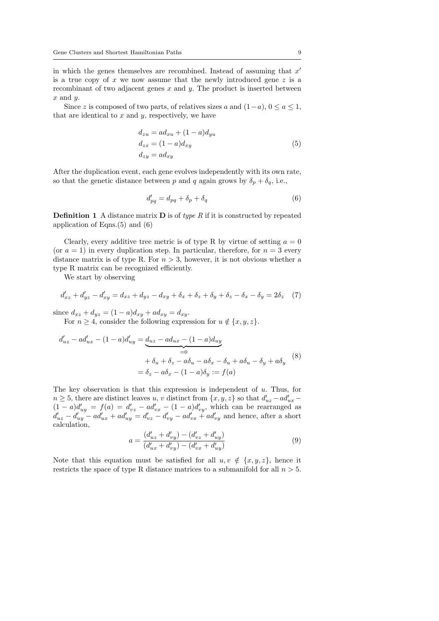in which the genes themselves are recombined. Instead of assuming that  $x'$ is a true copy of  $x$  we now assume that the newly introduced gene  $z$  is a recombinant of two adjacent genes  $x$  and  $y$ . The product is inserted between  $x$  and  $y$ .

Since z is composed of two parts, of relatives sizes a and  $(1-a)$ ,  $0 \le a \le 1$ , that are identical to  $x$  and  $y$ , respectively, we have

$$
d_{zu} = ad_{xu} + (1 - a)d_{yu}
$$
  
\n
$$
d_{zx} = (1 - a)d_{xy}
$$
  
\n
$$
d_{zy} = ad_{xy}
$$
\n(5)

After the duplication event, each gene evolves independently with its own rate, so that the genetic distance between p and q again grows by  $\delta_p + \delta_q$ , i.e.,

$$
d'_{pq} = d_{pq} + \delta_p + \delta_q \tag{6}
$$

**Definition 1** A distance matrix **D** is of *type R* if it is constructed by repeated application of Eqns.(5) and (6)

Clearly, every additive tree metric is of type R by virtue of setting  $a = 0$ (or  $a = 1$ ) in every duplication step. In particular, therefore, for  $n = 3$  every distance matrix is of type R. For  $n > 3$ , however, it is not obvious whether a type R matrix can be recognized efficiently.

We start by observing

$$
d'_{xz} + d'_{yz} - d'_{xy} = d_{xz} + d_{yz} - d_{xy} + \delta_x + \delta_z + \delta_y + \delta_z - \delta_x - \delta_y = 2\delta_z \quad (7)
$$

since  $d_{xz} + d_{yz} = (1 - a)d_{xy} + ad_{xy} = d_{xy}$ .

For  $n \geq 4$ , consider the following expression for  $u \notin \{x, y, z\}$ .

$$
d'_{uz} - ad'_{ux} - (1 - a)d'_{uy} = \underbrace{d_{uz} - ad_{ux} - (1 - a)d_{uy}}_{=0}
$$
  
+  $\delta_u + \delta_z - a\delta_u - a\delta_x - \delta_u + a\delta_u - \delta_y + a\delta_y$  (8)  
=  $\delta_z - a\delta_x - (1 - a)\delta_y := f(a)$ 

The key observation is that this expression is independent of  $u$ . Thus, for  $n \geq 5$ , there are distinct leaves u, v distinct from  $\{x, y, z\}$  so that  $d'_{uz} - ad'_{ux} (1-a)d'_{uy} = f(a) = d'_{vz} - ad'_{vx} - (1-a)d'_{vy}$ , which can be rearranged as  $d'_{uz} - d'_{uy} - ad'_{ux} + ad'_{uy} = d'_{vz} - d'_{vy} - ad'_{vx} + ad'_{vy}$  and hence, after a short calculation,

$$
a = \frac{(d'_{uz} + d'_{vy}) - (d'_{vz} + d'_{uy})}{(d'_{ux} + d'_{vy}) - (d'_{vx} + d'_{uy})}
$$
\n(9)

Note that this equation must be satisfied for all  $u, v \notin \{x, y, z\}$ , hence it restricts the space of type R distance matrices to a submanifold for all  $n > 5$ .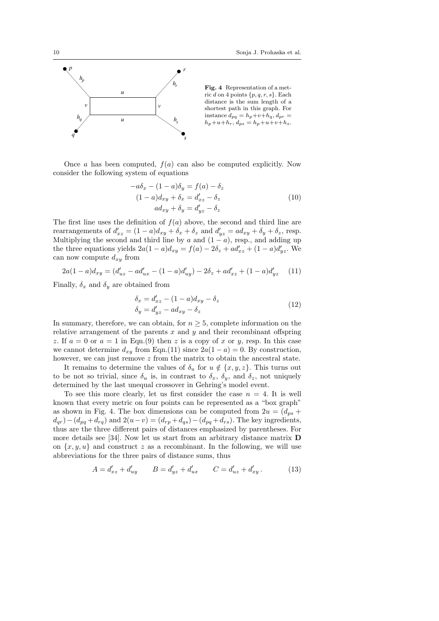

Once a has been computed,  $f(a)$  can also be computed explicitly. Now consider the following system of equations

$$
-a\delta_x - (1 - a)\delta_y = f(a) - \delta_z
$$
  

$$
(1 - a)d_{xy} + \delta_x = d'_{xz} - \delta_z
$$
  

$$
ad_{xy} + \delta_y = d'_{yz} - \delta_z
$$
 (10)

The first line uses the definition of  $f(a)$  above, the second and third line are rearrangements of  $d'_{xz} = (1 - a)d_{xy} + \delta_x + \delta_z$  and  $d'_{yz} = ad_{xy} + \delta_y + \delta_z$ , resp. Multiplying the second and third line by a and  $(1 - a)$ , resp., and adding up the three equations yields  $2a(1-a)d_{xy} = f(a) - 2\delta_z + ad'_{xz} + (1-a)d'_{yz}$ . We can now compute  $d_{xy}$  from

$$
2a(1-a)d_{xy} = (d'_{uz} - ad'_{ux} - (1-a)d'_{uy}) - 2\delta_z + ad'_{xz} + (1-a)d'_{yz}
$$
 (11)

Finally,  $\delta_x$  and  $\delta_y$  are obtained from

$$
\begin{aligned}\n\delta_x &= d'_{xz} - (1 - a)d_{xy} - \delta_z \\
\delta_y &= d'_{yz} - ad_{xy} - \delta_z\n\end{aligned} \tag{12}
$$

In summary, therefore, we can obtain, for  $n \geq 5$ , complete information on the relative arrangement of the parents  $x$  and  $y$  and their recombinant offspring z. If  $a = 0$  or  $a = 1$  in Eqn.(9) then z is a copy of x or y, resp. In this case we cannot determine  $d_{xy}$  from Eqn.(11) since  $2a(1-a) = 0$ . By construction, however, we can just remove  $z$  from the matrix to obtain the ancestral state.

It remains to determine the values of  $\delta_u$  for  $u \notin \{x, y, z\}$ . This turns out to be not so trivial, since  $\delta_u$  is, in contrast to  $\delta_x$ ,  $\delta_y$ , and  $\delta_z$ , not uniquely determined by the last unequal crossover in Gehring's model event.

To see this more clearly, let us first consider the case  $n = 4$ . It is well known that every metric on four points can be represented as a "box graph" as shown in Fig. 4. The box dimensions can be computed from  $2u = (d_{ps} +$  $d_{qr}$ ) –  $(d_{pq} + d_{rq})$  and  $2(u-v) = (d_{rp} + d_{qs}) - (d_{pq} + d_{rs})$ . The key ingredients, thus are the three different pairs of distances emphasized by parentheses. For more details see [34]. Now let us start from an arbitrary distance matrix D on  $\{x, y, u\}$  and construct z as a recombinant. In the following, we will use abbreviations for the three pairs of distance sums, thus

$$
A = d'_{xz} + d'_{uy} \qquad B = d'_{yz} + d'_{ux} \qquad C = d'_{uz} + d'_{xy} \,. \tag{13}
$$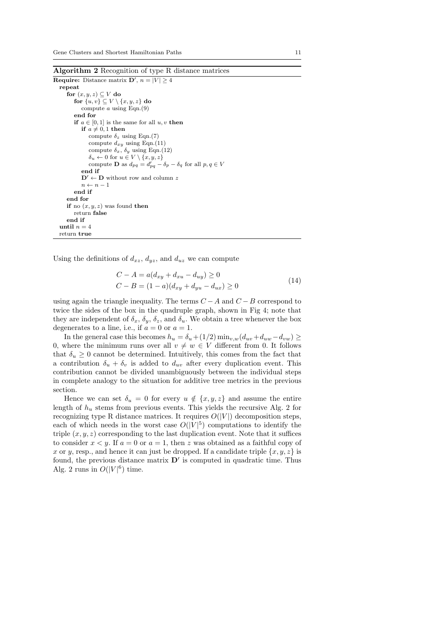Algorithm 2 Recognition of type R distance matrices

```
Require: Distance matrix \mathbf{D}', n = |V| \geq 4repeat
     for (x, y, z) \subseteq V do
         for \{u, v\} \subseteq V \setminus \{x, y, z\} do
            compute a using Eqn.(9)
         end for
         if a \in [0, 1] is the same for all u, v then
            if a \neq 0, 1 then
               compute \delta_z using Eqn.(7)
               compute d_{xy} using Eqn.(11)
               compute \delta_x, \delta_y using Eqn.(12)
               \delta_u \leftarrow 0 for u \in V \setminus \{x, y, z\}compute D as d_{pq} = d'_{pq} - \delta_p - \delta_q for all p, q \in Vend if
            \mathbf{D}' \leftarrow \mathbf{D} without row and column z
            n \leftarrow n - 1end if
     end for
     if no (x, y, z) was found then
         return false
     end if
  until n = 4return true
```
Using the definitions of  $d_{xz}$ ,  $d_{yz}$ , and  $d_{uz}$  we can compute

$$
C - A = a(d_{xy} + d_{xu} - d_{uy}) \ge 0
$$
  
\n
$$
C - B = (1 - a)(d_{xy} + d_{yu} - d_{ux}) \ge 0
$$
\n(14)

using again the triangle inequality. The terms  $C - A$  and  $C - B$  correspond to twice the sides of the box in the quadruple graph, shown in Fig 4; note that they are independent of  $\delta_x$ ,  $\delta_y$ ,  $\delta_z$ , and  $\delta_u$ . We obtain a tree whenever the box degenerates to a line, i.e., if  $a = 0$  or  $a = 1$ .

In the general case this becomes  $h_u = \delta_u + (1/2) \min_{v,w} (d_{uv} + d_{uw} - d_{vw}) \ge$ 0, where the minimum runs over all  $v \neq w \in V$  different from 0. It follows that  $\delta_u \geq 0$  cannot be determined. Intuitively, this comes from the fact that a contribution  $\delta_u + \delta_v$  is added to  $d_{uv}$  after every duplication event. This contribution cannot be divided unambiguously between the individual steps in complete analogy to the situation for additive tree metrics in the previous section.

Hence we can set  $\delta_u = 0$  for every  $u \notin \{x, y, z\}$  and assume the entire length of  $h_u$  stems from previous events. This yields the recursive Alg. 2 for recognizing type R distance matrices. It requires  $O(|V|)$  decomposition steps, each of which needs in the worst case  $O(|V|^5)$  computations to identify the triple  $(x, y, z)$  corresponding to the last duplication event. Note that it suffices to consider  $x < y$ . If  $a = 0$  or  $a = 1$ , then z was obtained as a faithful copy of x or y, resp., and hence it can just be dropped. If a candidate triple  $\{x, y, z\}$  is found, the previous distance matrix  $\mathbf{D}'$  is computed in quadratic time. Thus Alg. 2 runs in  $O(|V|^6)$  time.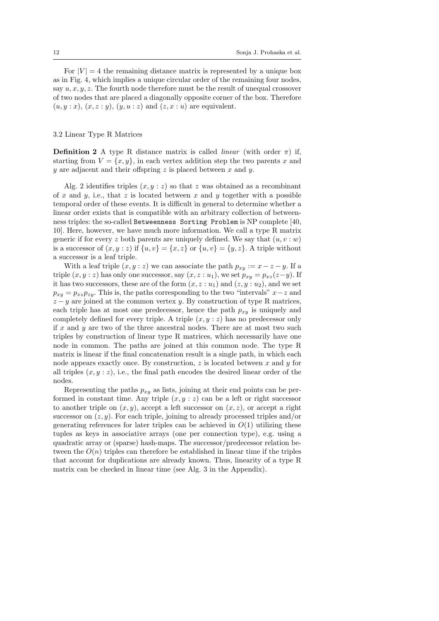For  $|V| = 4$  the remaining distance matrix is represented by a unique box as in Fig. 4, which implies a unique circular order of the remaining four nodes, say  $u, x, y, z$ . The fourth node therefore must be the result of unequal crossover of two nodes that are placed a diagonally opposite corner of the box. Therefore  $(u, y : x)$ ,  $(x, z : y)$ ,  $(y, u : z)$  and  $(z, x : u)$  are equivalent.

# 3.2 Linear Type R Matrices

Definition 2 A type R distance matrix is called *linear* (with order  $\pi$ ) if, starting from  $V = \{x, y\}$ , in each vertex addition step the two parents x and y are adjacent and their offspring  $z$  is placed between  $x$  and  $y$ .

Alg. 2 identifies triples  $(x, y : z)$  so that z was obtained as a recombinant of  $x$  and  $y$ , i.e., that  $z$  is located between  $x$  and  $y$  together with a possible temporal order of these events. It is difficult in general to determine whether a linear order exists that is compatible with an arbitrary collection of betweenness triples: the so-called Betweenness Sorting Problem is NP complete [40, 10]. Here, however, we have much more information. We call a type R matrix generic if for every z both parents are uniquely defined. We say that  $(u, v : w)$ is a successor of  $(x, y : z)$  if  $\{u, v\} = \{x, z\}$  or  $\{u, v\} = \{y, z\}$ . A triple without a successor is a leaf triple.

With a leaf triple  $(x, y : z)$  we can associate the path  $p_{xy} := x - z - y$ . If a triple  $(x, y : z)$  has only one successor, say  $(x, z : u_1)$ , we set  $p_{xy} = p_{xz}(z-y)$ . If it has two successors, these are of the form  $(x, z : u_1)$  and  $(z, y : u_2)$ , and we set  $p_{xy} = p_{xz}p_{zy}$ . This is, the paths corresponding to the two "intervals"  $x-z$  and  $z - y$  are joined at the common vertex y. By construction of type R matrices, each triple has at most one predecessor, hence the path  $p_{xy}$  is uniquely and completely defined for every triple. A triple  $(x, y : z)$  has no predecessor only if  $x$  and  $y$  are two of the three ancestral nodes. There are at most two such triples by construction of linear type R matrices, which necessarily have one node in common. The paths are joined at this common node. The type R matrix is linear if the final concatenation result is a single path, in which each node appears exactly once. By construction,  $z$  is located between  $x$  and  $y$  for all triples  $(x, y : z)$ , i.e., the final path encodes the desired linear order of the nodes.

Representing the paths  $p_{xy}$  as lists, joining at their end points can be performed in constant time. Any triple  $(x, y : z)$  can be a left or right successor to another triple on  $(x, y)$ , accept a left successor on  $(x, z)$ , or accept a right successor on  $(z, y)$ . For each triple, joining to already processed triples and/or generating references for later triples can be achieved in  $O(1)$  utilizing these tuples as keys in associative arrays (one per connection type), e.g. using a quadratic array or (sparse) hash-maps. The successor/predecessor relation between the  $O(n)$  triples can therefore be established in linear time if the triples that account for duplications are already known. Thus, linearity of a type R matrix can be checked in linear time (see Alg. 3 in the Appendix).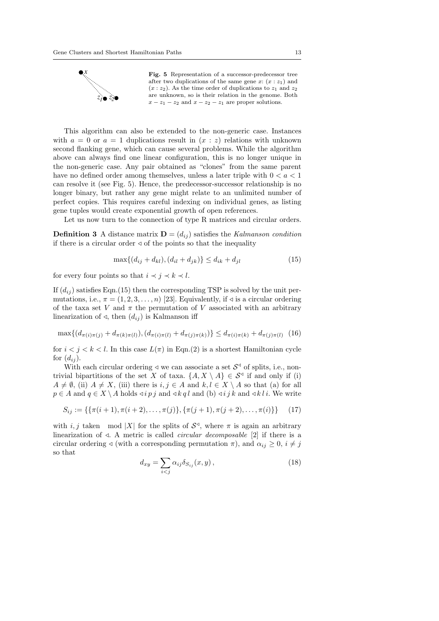

Fig. 5 Representation of a successor-predecessor tree after two duplications of the same gene  $x: (x : z_1)$  and  $(x : z_2)$ . As the time order of duplications to  $z_1$  and  $z_2$ are unknown, so is their relation in the genome. Both  $x - z_1 - z_2$  and  $x - z_2 - z_1$  are proper solutions.

This algorithm can also be extended to the non-generic case. Instances with  $a = 0$  or  $a = 1$  duplications result in  $(x : z)$  relations with unknown second flanking gene, which can cause several problems. While the algorithm above can always find one linear configuration, this is no longer unique in the non-generic case. Any pair obtained as "clones" from the same parent have no defined order among themselves, unless a later triple with  $0 < a < 1$ can resolve it (see Fig. 5). Hence, the predecessor-successor relationship is no longer binary, but rather any gene might relate to an unlimited number of perfect copies. This requires careful indexing on individual genes, as listing gene tuples would create exponential growth of open references.

Let us now turn to the connection of type R matrices and circular orders.

**Definition 3** A distance matrix  $\mathbf{D} = (d_{ij})$  satisfies the Kalmanson condition if there is a circular order  $\triangleleft$  of the points so that the inequality

$$
\max\{(d_{ij} + d_{kl}), (d_{il} + d_{jk})\} \le d_{ik} + d_{jl} \tag{15}
$$

for every four points so that  $i \prec j \prec k \prec l$ .

If  $(d_{ij})$  satisfies Eqn.(15) then the corresponding TSP is solved by the unit permutations, i.e.,  $\pi = (1, 2, 3, \ldots, n)$  [23]. Equivalently, if  $\triangleleft$  is a circular ordering of the taxa set V and  $\pi$  the permutation of V associated with an arbitrary linearization of  $\triangleleft$ , then  $(d_{ij})$  is Kalmanson iff

$$
\max\{(d_{\pi(i)\pi(j)} + d_{\pi(k)\pi(l)}), (d_{\pi(i)\pi(l)} + d_{\pi(j)\pi(k)})\} \le d_{\pi(i)\pi(k)} + d_{\pi(j)\pi(l)} \tag{16}
$$

for  $i < j < k < l$ . In this case  $L(\pi)$  in Eqn.(2) is a shortest Hamiltonian cycle for  $(d_{ij})$ .

With each circular ordering  $\triangleleft$  we can associate a set  $\mathcal{S}^{\triangleleft}$  of splits, i.e., nontrivial bipartitions of the set X of taxa.  $\{A, X \setminus A\} \in S^{\triangleleft}$  if and only if (i)  $A \neq \emptyset$ , (ii)  $A \neq X$ , (iii) there is  $i, j \in A$  and  $k, l \in X \setminus A$  so that (a) for all  $p \in A$  and  $q \in X \setminus A$  holds  $\triangleleft i p j$  and  $\triangleleft k q l$  and  $(b) \triangleleft i j k$  and  $\triangleleft k l i$ . We write

$$
S_{ij} := \{ \{\pi(i+1), \pi(i+2), \dots, \pi(j)\}, \{\pi(j+1), \pi(j+2), \dots, \pi(i)\} \}
$$
(17)

with i, j taken mod |X| for the splits of  $S^d$ , where  $\pi$  is again an arbitrary linearization of  $\triangleleft$ . A metric is called *circular decomposable* [2] if there is a circular ordering  $\triangleleft$  (with a corresponding permutation  $\pi$ ), and  $\alpha_{ij} \geq 0$ ,  $i \neq j$ so that

$$
d_{xy} = \sum_{i < j} \alpha_{ij} \delta_{S_{ij}}(x, y), \tag{18}
$$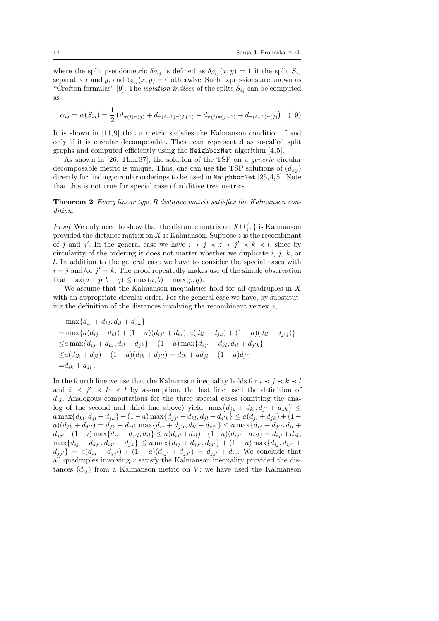where the split pseudometric  $\delta_{S_{ij}}$  is defined as  $\delta_{S_{ij}}(x, y) = 1$  if the split  $S_{ij}$ separates x and y, and  $\delta_{S_{ij}}(x, y) = 0$  otherwise. Such expressions are known as "Crofton formulas" [9]. The *isolation indices* of the splits  $S_{ij}$  can be computed as

$$
\alpha_{ij} = \alpha(S_{ij}) = \frac{1}{2} \left( d_{\pi(i)\pi(j)} + d_{\pi(i+1)\pi(j+1)} - d_{\pi(i)\pi(j+1)} - d_{\pi(i+1)\pi(j)} \right) \tag{19}
$$

It is shown in [11, 9] that a metric satisfies the Kalmanson condition if and only if it is circular decomposable. These can represented as so-called split graphs and computed efficiently using the NeighborNet algorithm  $[4, 5]$ .

As shown in [26, Thm.37], the solution of the TSP on a generic circular decomposable metric is unique. Thus, one can use the TSP solutions of  $(d_{xy})$ directly for finding circular orderings to be used in NeighborNet [25, 4, 5]. Note that this is not true for special case of additive tree metrics.

**Theorem 2** Every linear type R distance matrix satisfies the Kalmanson condition.

*Proof* We only need to show that the distance matrix on  $X \cup \{z\}$  is Kalmanson provided the distance matrix on  $X$  is Kalmanson. Suppose  $z$  is the recombinant of j and j'. In the general case we have  $i \prec j \prec z \prec j' \prec k \prec l$ , since by circularity of the ordering it does not matter whether we duplicate  $i, j, k$ , or l. In addition to the general case we have to consider the special cases with  $i = j$  and/or  $j' = k$ . The proof repeatedly makes use of the simple observation that  $\max(a+p, b+q) \leq \max(a, b) + \max(p, q)$ .

We assume that the Kalmanson inequalities hold for all quadruples in  $X$ with an appropriate circular order. For the general case we have, by substituting the definition of the distances involving the recombinant vertex  $z$ ,

$$
\max\{d_{iz} + d_{kl}, d_{il} + d_{zk}\}
$$
\n
$$
= \max\{a(d_{ij} + d_{kl}) + (1 - a)(d_{ij'} + d_{kl}), a(d_{il} + d_{jk}) + (1 - a)(d_{il} + d_{j'j})\}
$$
\n
$$
\le a \max\{d_{ij} + d_{kl}, d_{il} + d_{jk}\} + (1 - a) \max\{d_{ij'} + d_{kl}, d_{il} + d_{j'k}\}
$$
\n
$$
\le a(d_{ik} + d_{jl}) + (1 - a)(d_{ik} + d_{j'l}) = d_{ik} + ad_{jl} + (1 - a)d_{j'l}
$$
\n
$$
= d_{ik} + d_{zl}.
$$

In the fourth line we use that the Kalmanson inequality holds for  $i \leq j \leq k \leq l$ and  $i \leq j' \leq k \leq l$  by assumption, the last line used the definition of  $d_{z}$ . Analogous computations for the three special cases (omitting the analog of the second and third line above) yield: max $\{d_{iz} + d_{kl}, d_{il} + d_{zk}\}\leq$  $a \max\{d_{kl}, d_{jl} + d_{jk}\} + (1 - a) \max\{d_{jj'} + d_{kl}, d_{jl} + d_{j'k}\} \le a(d_{jl} + d_{jk}) + (1 - a) \max\{d_{jl'} + d_{jl'}\}$  $a)(d_{jk} + d_{j'l}) = d_{jk} + d_{zl}; \, \max\{d_{iz} + d_{j'l}, d_{il} + d_{zj'}\} \le a \max\{d_{ij} + d_{j'l}, d_{il} + d_{jl'}\}$  $d_{jj'}+(1-a)\max\{d_{ij'}+d_{j'l},d_{il}\}\leq a(d_{ij'}+d_{jl})+(1-a)(d_{ij'}+d_{j'l})=d_{ij'}+d_{zl};$  $\max\{d_{ij} + d_{zj'}, d_{ij'} + d_{jz}\} \le a \max\{d_{ij} + d_{jj'}, d_{ij'}\} + (1 - a) \max\{d_{ij}, d_{ij'} + d_{ij'}\}$  $d_{jj'}$ } =  $a(d_{ij} + d_{jj'}) + (1 - a)(d_{ij'} + d_{jj'}) = d_{jj'} + d_{iz}$ . We conclude that all quadruples involving z satisfy the Kalmanson inequality provided the distances  $(d_{ij})$  from a Kalmanson metric on V: we have used the Kalmanson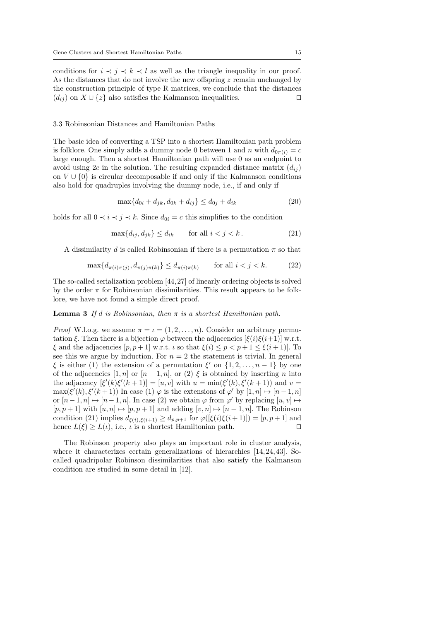conditions for  $i \prec j \prec k \prec l$  as well as the triangle inequality in our proof. As the distances that do not involve the new offspring  $z$  remain unchanged by the construction principle of type R matrices, we conclude that the distances  $(d_{ij})$  on  $X \cup \{z\}$  also satisfies the Kalmanson inequalities.  $\square$ 

# 3.3 Robinsonian Distances and Hamiltonian Paths

The basic idea of converting a TSP into a shortest Hamiltonian path problem is folklore. One simply adds a dummy node 0 between 1 and n with  $d_{0\pi(i)} = c$ large enough. Then a shortest Hamiltonian path will use 0 as an endpoint to avoid using 2c in the solution. The resulting expanded distance matrix  $(d_{ij})$ on  $V \cup \{0\}$  is circular decomposable if and only if the Kalmanson conditions also hold for quadruples involving the dummy node, i.e., if and only if

$$
\max\{d_{0i} + d_{jk}, d_{0k} + d_{ij}\} \le d_{0j} + d_{ik} \tag{20}
$$

holds for all  $0 \prec i \prec j \prec k$ . Since  $d_{0i} = c$  this simplifies to the condition

$$
\max\{d_{ij}, d_{jk}\} \le d_{ik} \qquad \text{for all } i < j < k. \tag{21}
$$

A dissimilarity d is called Robinsonian if there is a permutation  $\pi$  so that

$$
\max\{d_{\pi(i)\pi(j)}, d_{\pi(j)\pi(k)}\} \le d_{\pi(i)\pi(k)} \qquad \text{for all } i < j < k. \tag{22}
$$

The so-called serialization problem [44, 27] of linearly ordering objects is solved by the order  $\pi$  for Robinsonian dissimilarities. This result appears to be folklore, we have not found a simple direct proof.

**Lemma 3** If d is Robinsonian, then  $\pi$  is a shortest Hamiltonian path.

*Proof* W.l.o.g. we assume  $\pi = \iota = (1, 2, \ldots, n)$ . Consider an arbitrary permutation ξ. Then there is a bijection  $\varphi$  between the adjacencies  $[\xi(i)\xi(i+1)]$  w.r.t.  $\xi$  and the adjacencies  $[p, p+1]$  w.r.t.  $\iota$  so that  $\xi(i) \leq p < p+1 \leq \xi(i+1)$ . To see this we argue by induction. For  $n = 2$  the statement is trivial. In general  $\xi$  is either (1) the extension of a permutation  $\xi'$  on  $\{1, 2, ..., n-1\}$  by one of the adjacencies [1, n] or  $[n-1,n]$ , or (2)  $\xi$  is obtained by inserting n into the adjacency  $[\xi'(k)\xi'(k+1)] = [u, v]$  with  $u = \min(\xi'(k), \xi'(k+1))$  and  $v =$  $\max(\xi'(k), \xi'(k+1))$  In case (1)  $\varphi$  is the extensions of  $\varphi'$  by  $[1, n] \mapsto [n-1, n]$ or  $[n-1,n] \mapsto [n-1,n]$ . In case (2) we obtain  $\varphi$  from  $\varphi'$  by replacing  $[u, v] \mapsto$  $[p, p + 1]$  with  $[u, n] \mapsto [p, p + 1]$  and adding  $[v, n] \mapsto [n - 1, n]$ . The Robinson condition (21) implies  $d_{\xi(i),\xi(i+1)} \geq d_{p,p+1}$  for  $\varphi([\xi(i)\xi(i+1)]) = [p,p+1]$  and hence  $L(\xi) \ge L(\iota)$ , i.e.,  $\iota$  is a shortest Hamiltonian path.

The Robinson property also plays an important role in cluster analysis, where it characterizes certain generalizations of hierarchies [14, 24, 43]. Socalled quadripolar Robinson dissimilarities that also satisfy the Kalmanson condition are studied in some detail in [12].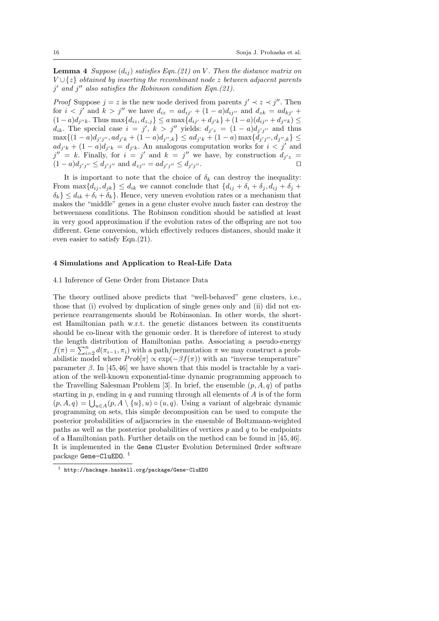**Lemma 4** Suppose  $(d_{ij})$  satisfies Eqn.(21) on V. Then the distance matrix on  $V \cup \{z\}$  obtained by inserting the recombinant node z between adjacent parents  $j'$  and  $j''$  also satisfies the Robinson condition Eqn.(21).

*Proof* Suppose  $j = z$  is the new node derived from parents  $j' \prec z \prec j''$ . Then for  $i < j'$  and  $k > j''$  we have  $d_{iz} = ad_{ij'} + (1 - a)d_{ij''}$  and  $d_{zk} = ad_{kj'} +$  $(1-a)d_{j''k}$ . Thus  $\max\{d_{iz}, d_{z,j}\}\le a\max\{d_{ij'}+d_{j'k}\}+(1-a)(d_{ij''}+d_{j''k})\le b_{ij}$  $d_{ik}$ . The special case  $i = j'$ ,  $k > j''$  yields:  $d_{j'z} = (1 - a)d_{j'j''}$  and thus  $\max\{(1-a)d_{j'j''}, ad_{j'k}+(1-a)d_{j'',k}\}\leq ad_{j'k}+(1-a)\max\{d_{j'j''}, d_{j'',k}\}\leq$  $ad_{j'k} + (1-a)d_{j'k} = d_{j'k}$ . An analogous computation works for  $i < j'$  and  $j'' = k$ . Finally, for  $i = j'$  and  $k = j''$  we have, by construction  $d_{j'z} = j''$  $(1-a)d_{j'j''} \leq d_{j'j''}$  and  $d_{zj''}=ad_{j'j''} \leq d_{j'j}$  $\mathbf{0}$  . Under the contract of  $\mathbf{0}$ 

It is important to note that the choice of  $\delta_k$  can destroy the inequality: From  $\max\{d_{ij}, d_{jk}\} \leq d_{ik}$  we cannot conclude that  $\{d_{ij} + \delta_i + \delta_j, d_{ij} + \delta_j + \delta_j\}$  $\{\delta_k\} \leq d_{ik} + \delta_i + \delta_k$ . Hence, very uneven evolution rates or a mechanism that makes the "middle" genes in a gene cluster evolve much faster can destroy the betweenness conditions. The Robinson condition should be satisfied at least in very good approximation if the evolution rates of the offspring are not too different. Gene conversion, which effectively reduces distances, should make it even easier to satisfy Eqn.(21).

# 4 Simulations and Application to Real-Life Data

# 4.1 Inference of Gene Order from Distance Data

The theory outlined above predicts that "well-behaved" gene clusters, i.e., those that (i) evolved by duplication of single genes only and (ii) did not experience rearrangements should be Robinsonian. In other words, the shortest Hamiltonian path w.r.t. the genetic distances between its constituents should be co-linear with the genomic order. It is therefore of interest to study the length distribution of Hamiltonian paths. Associating a pseudo-energy  $f(\pi) = \sum_{i=2}^{n} d(\pi_{i-1}, \pi_i)$  with a path/permutation  $\pi$  we may construct a probabilistic model where  $Prob[\pi] \propto \exp(-\beta f(\pi))$  with an "inverse temperature" parameter  $\beta$ . In [45, 46] we have shown that this model is tractable by a variation of the well-known exponential-time dynamic programming approach to the Travelling Salesman Problem [3]. In brief, the ensemble  $(p, A, q)$  of paths starting in  $p$ , ending in  $q$  and running through all elements of  $A$  is of the form  $(p, A, q) = \bigcup_{u \in A} (p, A \setminus \{u\}, u) \circ (u, q)$ . Using a variant of algebraic dynamic programming on sets, this simple decomposition can be used to compute the posterior probabilities of adjacencies in the ensemble of Boltzmann-weighted paths as well as the posterior probabilities of vertices  $p$  and  $q$  to be endpoints of a Hamiltonian path. Further details on the method can be found in [45, 46]. It is implemented in the Gene Cluster Evolution Determined Order software  $\rm{package~Gene\mbox{-}CluEDO.}$   $^1$ 

<sup>1</sup> http://hackage.haskell.org/package/Gene-CluEDO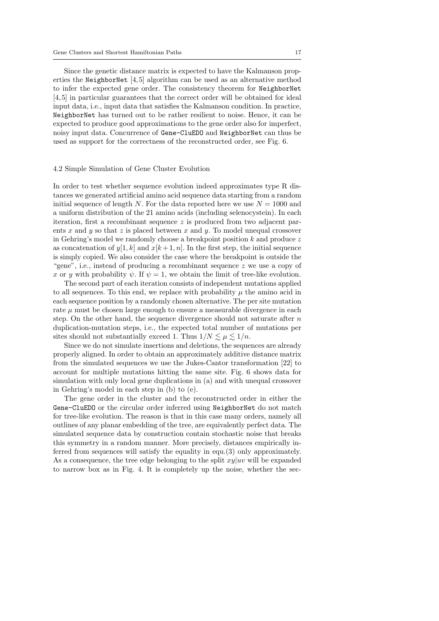Since the genetic distance matrix is expected to have the Kalmanson properties the NeighborNet  $[4,5]$  algorithm can be used as an alternative method to infer the expected gene order. The consistency theorem for NeighborNet [4, 5] in particular guarantees that the correct order will be obtained for ideal input data, i.e., input data that satisfies the Kalmanson condition. In practice, NeighborNet has turned out to be rather resilient to noise. Hence, it can be expected to produce good approximations to the gene order also for imperfect, noisy input data. Concurrence of Gene-CluEDO and NeighborNet can thus be used as support for the correctness of the reconstructed order, see Fig. 6.

#### 4.2 Simple Simulation of Gene Cluster Evolution

In order to test whether sequence evolution indeed approximates type R distances we generated artificial amino acid sequence data starting from a random initial sequence of length N. For the data reported here we use  $N = 1000$  and a uniform distribution of the 21 amino acids (including selenocystein). In each iteration, first a recombinant sequence  $z$  is produced from two adjacent parents x and y so that z is placed between x and y. To model unequal crossover in Gehring's model we randomly choose a breakpoint position  $k$  and produce  $z$ as concatenation of  $y[1, k]$  and  $x[k + 1, n]$ . In the first step, the initial sequence is simply copied. We also consider the case where the breakpoint is outside the "gene", i.e., instead of producing a recombinant sequence  $z$  we use a copy of x or y with probability  $\psi$ . If  $\psi = 1$ , we obtain the limit of tree-like evolution.

The second part of each iteration consists of independent mutations applied to all sequences. To this end, we replace with probability  $\mu$  the amino acid in each sequence position by a randomly chosen alternative. The per site mutation rate  $\mu$  must be chosen large enough to ensure a measurable divergence in each step. On the other hand, the sequence divergence should not saturate after  $n$ duplication-mutation steps, i.e., the expected total number of mutations per sites should not substantially exceed 1. Thus  $1/N \lesssim \mu \lesssim 1/n$ .

Since we do not simulate insertions and deletions, the sequences are already properly aligned. In order to obtain an approximately additive distance matrix from the simulated sequences we use the Jukes-Cantor transformation [22] to account for multiple mutations hitting the same site. Fig. 6 shows data for simulation with only local gene duplications in (a) and with unequal crossover in Gehring's model in each step in (b) to (e).

The gene order in the cluster and the reconstructed order in either the Gene-CluEDO or the circular order inferred using NeighborNet do not match for tree-like evolution. The reason is that in this case many orders, namely all outlines of any planar embedding of the tree, are equivalently perfect data. The simulated sequence data by construction contain stochastic noise that breaks this symmetry in a random manner. More precisely, distances empirically inferred from sequences will satisfy the equality in equ.(3) only approximately. As a consequence, the tree edge belonging to the split  $xy|uv$  will be expanded to narrow box as in Fig. 4. It is completely up the noise, whether the sec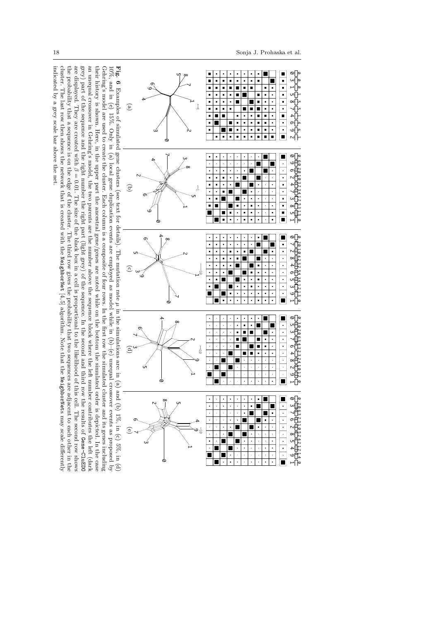cluster. The last row then shows the network that is created with the

indicated by a grey scale bar above the net indicated by a grey scale bar above the net.

NeighborNet

cluster. The last row then shows the network that is created with the NeighborNet [4,5] algorithm. Note that the NeighborNets may scale differently

[4,5] algorithm. Note that the

NeighborNet

s may scale differently

 $\overline{\bullet}$  10  $\circ$  0



 $\circ$  0

×  $\overline{\phantom{a}}$ П

 $\blacksquare$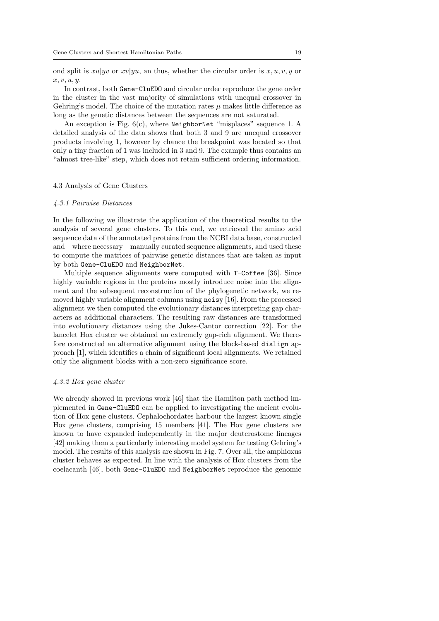ond split is  $xu|yv$  or  $xv|yu$ , an thus, whether the circular order is  $x, u, v, y$  or  $x, v, u, u$ 

In contrast, both Gene-CluEDO and circular order reproduce the gene order in the cluster in the vast majority of simulations with unequal crossover in Gehring's model. The choice of the mutation rates  $\mu$  makes little difference as long as the genetic distances between the sequences are not saturated.

An exception is Fig.  $6(c)$ , where NeighborNet "misplaces" sequence 1. A detailed analysis of the data shows that both 3 and 9 are unequal crossover products involving 1, however by chance the breakpoint was located so that only a tiny fraction of 1 was included in 3 and 9. The example thus contains an "almost tree-like" step, which does not retain sufficient ordering information.

#### 4.3 Analysis of Gene Clusters

#### 4.3.1 Pairwise Distances

In the following we illustrate the application of the theoretical results to the analysis of several gene clusters. To this end, we retrieved the amino acid sequence data of the annotated proteins from the NCBI data base, constructed and—where necessary—manually curated sequence alignments, and used these to compute the matrices of pairwise genetic distances that are taken as input by both Gene-CluEDO and NeighborNet.

Multiple sequence alignments were computed with T-Coffee [36]. Since highly variable regions in the proteins mostly introduce noise into the alignment and the subsequent reconstruction of the phylogenetic network, we removed highly variable alignment columns using noisy [16]. From the processed alignment we then computed the evolutionary distances interpreting gap characters as additional characters. The resulting raw distances are transformed into evolutionary distances using the Jukes-Cantor correction [22]. For the lancelet Hox cluster we obtained an extremely gap-rich alignment. We therefore constructed an alternative alignment using the block-based dialign approach [1], which identifies a chain of significant local alignments. We retained only the alignment blocks with a non-zero significance score.

#### 4.3.2 Hox gene cluster

We already showed in previous work [46] that the Hamilton path method implemented in Gene-CluEDO can be applied to investigating the ancient evolution of Hox gene clusters. Cephalochordates harbour the largest known single Hox gene clusters, comprising 15 members [41]. The Hox gene clusters are known to have expanded independently in the major deuterostome lineages [42] making them a particularly interesting model system for testing Gehring's model. The results of this analysis are shown in Fig. 7. Over all, the amphioxus cluster behaves as expected. In line with the analysis of Hox clusters from the coelacanth [46], both Gene-CluEDO and NeighborNet reproduce the genomic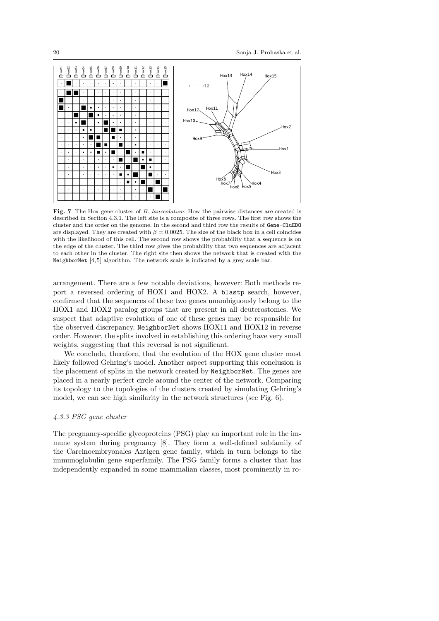

Fig. 7 The Hox gene cluster of B. lanceolatum. How the pairwise distances are created is described in Section 4.3.1. The left site is a composite of three rows. The first row shows the cluster and the order on the genome. In the second and third row the results of Gene-CluEDO are displayed. They are created with  $\beta = 0.0025$ . The size of the black box in a cell coincides with the likelihood of this cell. The second row shows the probability that a sequence is on the edge of the cluster. The third row gives the probability that two sequences are adjacent to each other in the cluster. The right site then shows the network that is created with the NeighborNet [4,5] algorithm. The network scale is indicated by a grey scale bar.

arrangement. There are a few notable deviations, however: Both methods report a reversed ordering of HOX1 and HOX2. A blastp search, however, confirmed that the sequences of these two genes unambiguously belong to the HOX1 and HOX2 paralog groups that are present in all deuterostomes. We suspect that adaptive evolution of one of these genes may be responsible for the observed discrepancy. NeighborNet shows HOX11 and HOX12 in reverse order. However, the splits involved in establishing this ordering have very small weights, suggesting that this reversal is not significant.

We conclude, therefore, that the evolution of the HOX gene cluster most likely followed Gehring's model. Another aspect supporting this conclusion is the placement of splits in the network created by NeighborNet. The genes are placed in a nearly perfect circle around the center of the network. Comparing its topology to the topologies of the clusters created by simulating Gehring's model, we can see high similarity in the network structures (see Fig. 6).

# 4.3.3 PSG gene cluster

The pregnancy-specific glycoproteins (PSG) play an important role in the immune system during pregnancy [8]. They form a well-defined subfamily of the Carcinoembryonales Antigen gene family, which in turn belongs to the immunoglobulin gene superfamily. The PSG family forms a cluster that has independently expanded in some mammalian classes, most prominently in ro-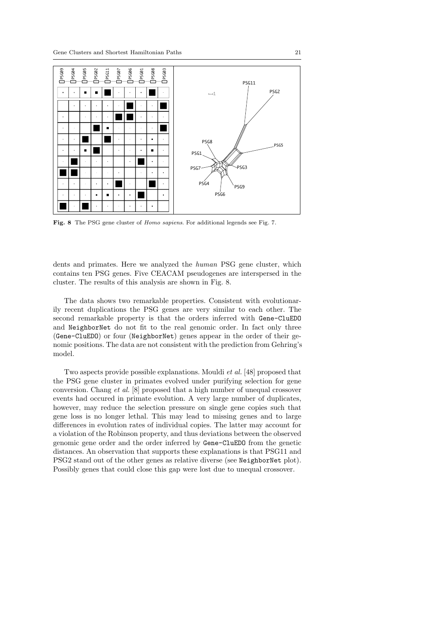

Fig. 8 The PSG gene cluster of Homo sapiens. For additional legends see Fig. 7.

dents and primates. Here we analyzed the human PSG gene cluster, which contains ten PSG genes. Five CEACAM pseudogenes are interspersed in the cluster. The results of this analysis are shown in Fig. 8.

The data shows two remarkable properties. Consistent with evolutionarily recent duplications the PSG genes are very similar to each other. The second remarkable property is that the orders inferred with Gene-CluEDO and NeighborNet do not fit to the real genomic order. In fact only three (Gene-CluEDO) or four (NeighborNet) genes appear in the order of their genomic positions. The data are not consistent with the prediction from Gehring's model.

Two aspects provide possible explanations. Mouldi et al. [48] proposed that the PSG gene cluster in primates evolved under purifying selection for gene conversion. Chang et al. [8] proposed that a high number of unequal crossover events had occured in primate evolution. A very large number of duplicates, however, may reduce the selection pressure on single gene copies such that gene loss is no longer lethal. This may lead to missing genes and to large differences in evolution rates of individual copies. The latter may account for a violation of the Robinson property, and thus deviations between the observed genomic gene order and the order inferred by Gene-CluEDO from the genetic distances. An observation that supports these explanations is that PSG11 and PSG2 stand out of the other genes as relative diverse (see NeighborNet plot). Possibly genes that could close this gap were lost due to unequal crossover.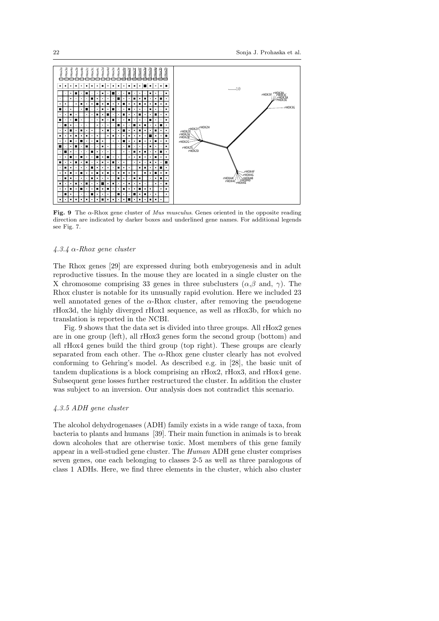

Fig. 9 The  $\alpha$ -Rhox gene cluster of *Mus musculus*. Genes oriented in the opposite reading direction are indicated by darker boxes and underlined gene names. For additional legends see Fig. 7.

## $4.3.4 \alpha$ -Rhox gene cluster

The Rhox genes [29] are expressed during both embryogenesis and in adult reproductive tissues. In the mouse they are located in a single cluster on the X chromosome comprising 33 genes in three subclusters  $(\alpha, \beta \text{ and}, \gamma)$ . The Rhox cluster is notable for its unusually rapid evolution. Here we included 23 well annotated genes of the  $\alpha$ -Rhox cluster, after removing the pseudogene rHox3d, the highly diverged rHox1 sequence, as well as rHox3b, for which no translation is reported in the NCBI.

Fig. 9 shows that the data set is divided into three groups. All rHox2 genes are in one group (left), all rHox3 genes form the second group (bottom) and all rHox4 genes build the third group (top right). These groups are clearly separated from each other. The  $\alpha$ -Rhox gene cluster clearly has not evolved conforming to Gehring's model. As described e.g. in [28], the basic unit of tandem duplications is a block comprising an rHox2, rHox3, and rHox4 gene. Subsequent gene losses further restructured the cluster. In addition the cluster was subject to an inversion. Our analysis does not contradict this scenario.

# 4.3.5 ADH gene cluster

The alcohol dehydrogenases (ADH) family exists in a wide range of taxa, from bacteria to plants and humans [39]. Their main function in animals is to break down alcoholes that are otherwise toxic. Most members of this gene family appear in a well-studied gene cluster. The Human ADH gene cluster comprises seven genes, one each belonging to classes 2-5 as well as three paralogous of class 1 ADHs. Here, we find three elements in the cluster, which also cluster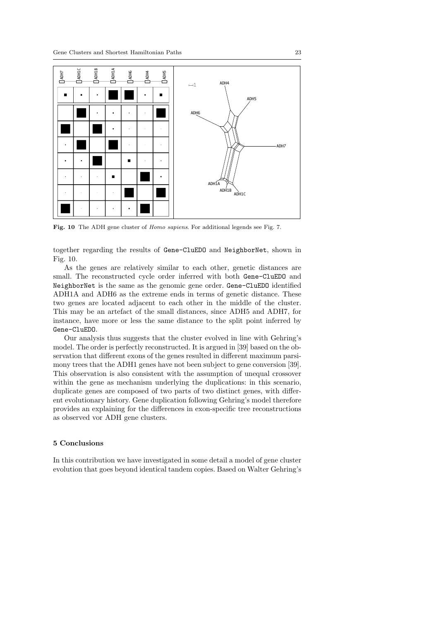

Fig. 10 The ADH gene cluster of *Homo sapiens*. For additional legends see Fig. 7.

together regarding the results of Gene-CluEDO and NeighborNet, shown in Fig. 10.

As the genes are relatively similar to each other, genetic distances are small. The reconstructed cycle order inferred with both Gene-CluEDO and NeighborNet is the same as the genomic gene order. Gene-CluEDO identified ADH1A and ADH6 as the extreme ends in terms of genetic distance. These two genes are located adjacent to each other in the middle of the cluster. This may be an artefact of the small distances, since ADH5 and ADH7, for instance, have more or less the same distance to the split point inferred by Gene-CluEDO.

Our analysis thus suggests that the cluster evolved in line with Gehring's model. The order is perfectly reconstructed. It is argued in [39] based on the observation that different exons of the genes resulted in different maximum parsimony trees that the ADH1 genes have not been subject to gene conversion [39]. This observation is also consistent with the assumption of unequal crossover within the gene as mechanism underlying the duplications: in this scenario, duplicate genes are composed of two parts of two distinct genes, with different evolutionary history. Gene duplication following Gehring's model therefore provides an explaining for the differences in exon-specific tree reconstructions as observed vor ADH gene clusters.

## 5 Conclusions

In this contribution we have investigated in some detail a model of gene cluster evolution that goes beyond identical tandem copies. Based on Walter Gehring's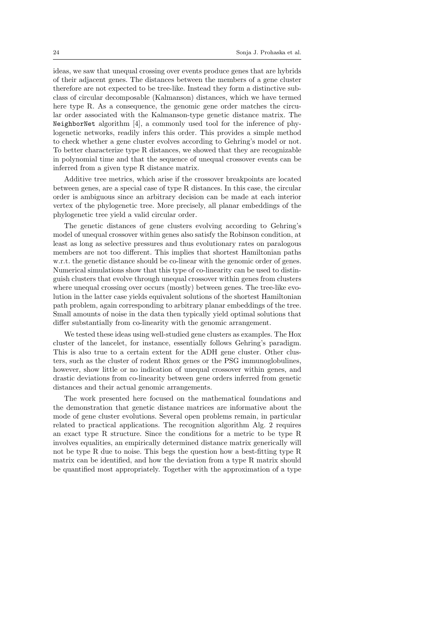ideas, we saw that unequal crossing over events produce genes that are hybrids of their adjacent genes. The distances between the members of a gene cluster therefore are not expected to be tree-like. Instead they form a distinctive subclass of circular decomposable (Kalmanson) distances, which we have termed here type R. As a consequence, the genomic gene order matches the circular order associated with the Kalmanson-type genetic distance matrix. The NeighborNet algorithm [4], a commonly used tool for the inference of phylogenetic networks, readily infers this order. This provides a simple method to check whether a gene cluster evolves according to Gehring's model or not. To better characterize type R distances, we showed that they are recognizable in polynomial time and that the sequence of unequal crossover events can be inferred from a given type R distance matrix.

Additive tree metrics, which arise if the crossover breakpoints are located between genes, are a special case of type R distances. In this case, the circular order is ambiguous since an arbitrary decision can be made at each interior vertex of the phylogenetic tree. More precisely, all planar embeddings of the phylogenetic tree yield a valid circular order.

The genetic distances of gene clusters evolving according to Gehring's model of unequal crossover within genes also satisfy the Robinson condition, at least as long as selective pressures and thus evolutionary rates on paralogous members are not too different. This implies that shortest Hamiltonian paths w.r.t. the genetic distance should be co-linear with the genomic order of genes. Numerical simulations show that this type of co-linearity can be used to distinguish clusters that evolve through unequal crossover within genes from clusters where unequal crossing over occurs (mostly) between genes. The tree-like evolution in the latter case yields equivalent solutions of the shortest Hamiltonian path problem, again corresponding to arbitrary planar embeddings of the tree. Small amounts of noise in the data then typically yield optimal solutions that differ substantially from co-linearity with the genomic arrangement.

We tested these ideas using well-studied gene clusters as examples. The Hox cluster of the lancelet, for instance, essentially follows Gehring's paradigm. This is also true to a certain extent for the ADH gene cluster. Other clusters, such as the cluster of rodent Rhox genes or the PSG immunoglobulines, however, show little or no indication of unequal crossover within genes, and drastic deviations from co-linearity between gene orders inferred from genetic distances and their actual genomic arrangements.

The work presented here focused on the mathematical foundations and the demonstration that genetic distance matrices are informative about the mode of gene cluster evolutions. Several open problems remain, in particular related to practical applications. The recognition algorithm Alg. 2 requires an exact type R structure. Since the conditions for a metric to be type R involves equalities, an empirically determined distance matrix generically will not be type R due to noise. This begs the question how a best-fitting type R matrix can be identified, and how the deviation from a type R matrix should be quantified most appropriately. Together with the approximation of a type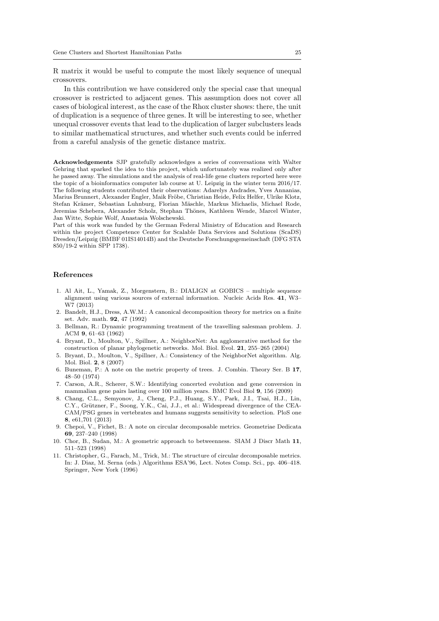R matrix it would be useful to compute the most likely sequence of unequal crossovers.

In this contribution we have considered only the special case that unequal crossover is restricted to adjacent genes. This assumption does not cover all cases of biological interest, as the case of the Rhox cluster shows: there, the unit of duplication is a sequence of three genes. It will be interesting to see, whether unequal crossover events that lead to the duplication of larger subclusters leads to similar mathematical structures, and whether such events could be inferred from a careful analysis of the genetic distance matrix.

Acknowledgements SJP gratefully acknowledges a series of conversations with Walter Gehring that sparked the idea to this project, which unfortunately was realized only after he passed away. The simulations and the analysis of real-life gene clusters reported here were the topic of a bioinformatics computer lab course at U. Leipzig in the winter term 2016/17. The following students contributed their observations: Adarelys Andrades, Yves Annanias, Marius Brunnert, Alexander Engler, Maik Fröbe, Christian Heide, Felix Helfer, Ulrike Klotz, Stefan Krämer, Sebastian Luhnburg, Florian Mäschle, Markus Michaelis, Michael Rode, Jeremias Schebera, Alexander Scholz, Stephan Thönes, Kathleen Wende, Marcel Winter, Jan Witte, Sophie Wolf, Anastasia Wolschewski.

Part of this work was funded by the German Federal Ministry of Education and Research within the project Competence Center for Scalable Data Services and Solutions (ScaDS) Dresden/Leipzig (BMBF 01IS14014B) and the Deutsche Forschungsgemeinschaft (DFG STA 850/19-2 within SPP 1738).

#### References

- 1. Al Ait, L., Yamak, Z., Morgenstern, B.: DIALIGN at GOBICS multiple sequence alignment using various sources of external information. Nucleic Acids Res. 41, W3– W7 (2013)
- 2. Bandelt, H.J., Dress, A.W.M.: A canonical decomposition theory for metrics on a finite set. Adv. math. 92, 47 (1992)
- 3. Bellman, R.: Dynamic programming treatment of the travelling salesman problem. J. ACM 9, 61–63 (1962)
- 4. Bryant, D., Moulton, V., Spillner, A.: NeighborNet: An agglomerative method for the construction of planar phylogenetic networks. Mol. Biol. Evol. 21, 255–265 (2004)
- 5. Bryant, D., Moulton, V., Spillner, A.: Consistency of the NeighborNet algorithm. Alg. Mol. Biol. 2, 8 (2007)
- 6. Buneman, P.: A note on the metric property of trees. J. Combin. Theory Ser. B 17, 48–50 (1974)
- 7. Carson, A.R., Scherer, S.W.: Identifying concerted evolution and gene conversion in mammalian gene pairs lasting over 100 million years. BMC Evol Biol 9, 156 (2009)
- 8. Chang, C.L., Semyonov, J., Cheng, P.J., Huang, S.Y., Park, J.I., Tsai, H.J., Lin, C.Y., Grützner, F., Soong, Y.K., Cai, J.J., et al.: Widespread divergence of the CEA-CAM/PSG genes in vertebrates and humans suggests sensitivity to selection. PloS one 8, e61,701 (2013)
- 9. Chepoi, V., Fichet, B.: A note on circular decomposable metrics. Geometriae Dedicata 69, 237–240 (1998)
- 10. Chor, B., Sudan, M.: A geometric approach to betweenness. SIAM J Discr Math 11, 511–523 (1998)
- 11. Christopher, G., Farach, M., Trick, M.: The structure of circular decomposable metrics. In: J. Diaz, M. Serna (eds.) Algorithms ESA'96, Lect. Notes Comp. Sci., pp. 406–418. Springer, New York (1996)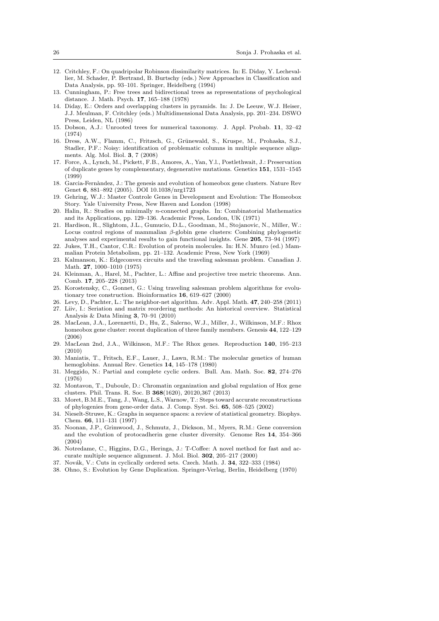- 12. Critchley, F.: On quadripolar Robinson dissimilarity matrices. In: E. Diday, Y. Lechevallier, M. Schader, P. Bertrand, B. Burtschy (eds.) New Approaches in Classification and Data Analysis, pp. 93–101. Springer, Heidelberg (1994)
- 13. Cunningham, P.: Free trees and bidirectional trees as representations of psychological distance. J. Math. Psych. 17, 165–188 (1978)
- 14. Diday, E.: Orders and overlapping clusters in pyramids. In: J. De Leeuw, W.J. Heiser, J.J. Meulman, F. Critchley (eds.) Multidimensional Data Analysis, pp. 201–234. DSWO Press, Leiden, NL (1986)
- 15. Dobson, A.J.: Unrooted trees for numerical taxonomy. J. Appl. Probab. 11, 32–42 (1974)
- 16. Dress, A.W., Flamm, C., Fritzsch, G., Grünewald, S., Kruspe, M., Prohaska, S.J., Stadler, P.F.: Noisy: identification of problematic columns in multiple sequence alignments. Alg. Mol. Biol. 3, 7 (2008)
- 17. Force, A., Lynch, M., Pickett, F.B., Amores, A., Yan, Y.l., Postlethwait, J.: Preservation of duplicate genes by complementary, degenerative mutations. Genetics 151, 1531–1545 (1999)
- 18. Garcia-Fernàndez, J.: The genesis and evolution of homeobox gene clusters. Nature Rev Genet 6, 881–892 (2005). DOI 10.1038/nrg1723
- 19. Gehring, W.J.: Master Controle Genes in Development and Evolution: The Homeobox Story. Yale University Press, New Haven and London (1998)
- 20. Halin, R.: Studies on minimally n-connected graphs. In: Combinatorial Mathematics and its Applications, pp. 129–136. Academic Press, London, UK (1971)
- 21. Hardison, R., Slightom, J.L., Gumucio, D.L., Goodman, M., Stojanovic, N., Miller, W.: Locus control regions of mammalian  $\beta$ -globin gene clusters: Combining phylogenetic analyses and experimental results to gain functional insights. Gene 205, 73–94 (1997)
- 22. Jukes, T.H., Cantor, C.R.: Evolution of protein molecules. In: H.N. Munro (ed.) Mammalian Protein Metabolism, pp. 21–132. Academic Press, New York (1969)
- 23. Kalmanson, K.: Edgeconvex circuits and the traveling salesman problem. Canadian J. Math. 27, 1000–1010 (1975)
- 24. Kleinman, A., Harel, M., Pachter, L.: Affine and projective tree metric theorems. Ann. Comb. 17, 205–228 (2013)
- 25. Korostensky, C., Gonnet, G.: Using traveling salesman problem algorithms for evolutionary tree construction. Bioinformatics 16, 619–627 (2000)
- 26. Levy, D., Pachter, L.: The neighbor-net algorithm. Adv. Appl. Math. 47, 240–258 (2011)
- 27. Liiv, I.: Seriation and matrix reordering methods: An historical overview. Statistical Analysis & Data Mining 3, 70–91 (2010)
- 28. MacLean, J.A., Lorenzetti, D., Hu, Z., Salerno, W.J., Miller, J., Wilkinson, M.F.: Rhox homeobox gene cluster: recent duplication of three family members. Genesis 44, 122–129 (2006)
- 29. MacLean 2nd, J.A., Wilkinson, M.F.: The Rhox genes. Reproduction 140, 195–213 (2010)
- 30. Maniatis, T., Fritsch, E.F., Lauer, J., Lawn, R.M.: The molecular genetics of human hemoglobins. Annual Rev. Genetics 14, 145–178 (1980)
- 31. Meggido, N.: Partial and complete cyclic orders. Bull. Am. Math. Soc. 82, 274–276 (1976)
- 32. Montavon, T., Duboule, D.: Chromatin organization and global regulation of Hox gene clusters. Phil. Trans. R. Soc. B 368(1620), 20120,367 (2013)
- 33. Moret, B.M.E., Tang, J., Wang, L.S., Warnow, T.: Steps toward accurate reconstructions of phylogenies from gene-order data. J. Comp. Syst. Sci. 65, 508–525 (2002)
- 34. Nieselt-Struwe, K.: Graphs in sequence spaces: a review of statistical geometry. Biophys. Chem. 66, 111–131 (1997)
- 35. Noonan, J.P., Grimwood, J., Schmutz, J., Dickson, M., Myers, R.M.: Gene conversion and the evolution of protocadherin gene cluster diversity. Genome Res 14, 354–366 (2004)
- 36. Notredame, C., Higgins, D.G., Heringa, J.: T-Coffee: A novel method for fast and accurate multiple sequence alignment. J. Mol. Biol. 302, 205–217 (2000)
- 37. Novák, V.: Cuts in cyclically ordered sets. Czech. Math. J. 34, 322-333 (1984)
- 38. Ohno, S.: Evolution by Gene Duplication. Springer-Verlag, Berlin, Heidelberg (1970)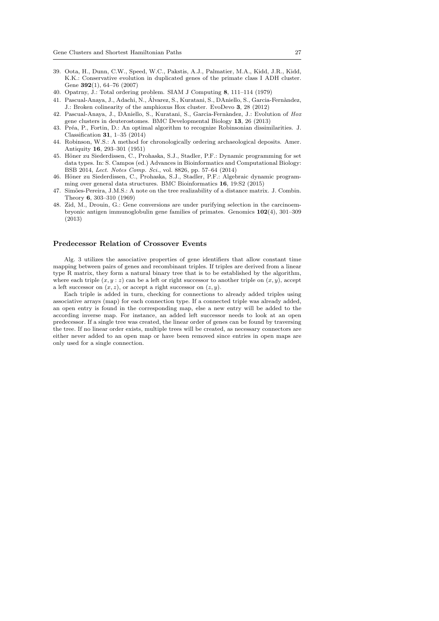- 39. Oota, H., Dunn, C.W., Speed, W.C., Pakstis, A.J., Palmatier, M.A., Kidd, J.R., Kidd, K.K.: Conservative evolution in duplicated genes of the primate class I ADH cluster. Gene 392(1), 64–76 (2007)
- 40. Opatrny, J.: Total ordering problem. SIAM J Computing 8, 111–114 (1979)
- 41. Pascual-Anaya, J., Adachi, N., Alvarez, S., Kuratani, S., DAniello, S., Garcia-Fern`andez, ´ J.: Broken colinearity of the amphioxus Hox cluster. EvoDevo 3, 28 (2012)
- 42. Pascual-Anaya, J., DAniello, S., Kuratani, S., Garcia-Fernàndez, J.: Evolution of Hox gene clusters in deuterostomes. BMC Developmental Biology 13, 26 (2013)
- 43. Pr´ea, P., Fortin, D.: An optimal algorithm to recognize Robinsonian dissimilarities. J. Classification 31, 1–35 (2014)
- 44. Robinson, W.S.: A method for chronologically ordering archaeological deposits. Amer. Antiquity 16, 293–301 (1951)
- 45. Höner zu Siederdissen, C., Prohaska, S.J., Stadler, P.F.: Dynamic programming for set data types. In: S. Campos (ed.) Advances in Bioinformatics and Computational Biology: BSB 2014, Lect. Notes Comp. Sci., vol. 8826, pp. 57–64 (2014)
- 46. Höner zu Siederdissen, C., Prohaska, S.J., Stadler, P.F.: Algebraic dynamic programming over general data structures. BMC Bioinformatics 16, 19:S2 (2015)
- 47. Simões-Pereira, J.M.S.: A note on the tree realizability of a distance matrix. J. Combin. Theory 6, 303–310 (1969)
- 48. Zid, M., Drouin, G.: Gene conversions are under purifying selection in the carcinoembryonic antigen immunoglobulin gene families of primates. Genomics 102(4), 301–309 (2013)

#### Predecessor Relation of Crossover Events

Alg. 3 utilizes the associative properties of gene identifiers that allow constant time mapping between pairs of genes and recombinant triples. If triples are derived from a linear type R matrix, they form a natural binary tree that is to be established by the algorithm, where each triple  $(x, y : z)$  can be a left or right successor to another triple on  $(x, y)$ , accept a left successor on  $(x, z)$ , or accept a right successor on  $(z, y)$ .

Each triple is added in turn, checking for connections to already added triples using associative arrays (map) for each connection type. If a connected triple was already added, an open entry is found in the corresponding map, else a new entry will be added to the according inverse map. For instance, an added left successor needs to look at an open predecessor. If a single tree was created, the linear order of genes can be found by traversing the tree. If no linear order exists, multiple trees will be created, as necessary connectors are either never added to an open map or have been removed since entries in open maps are only used for a single connection.